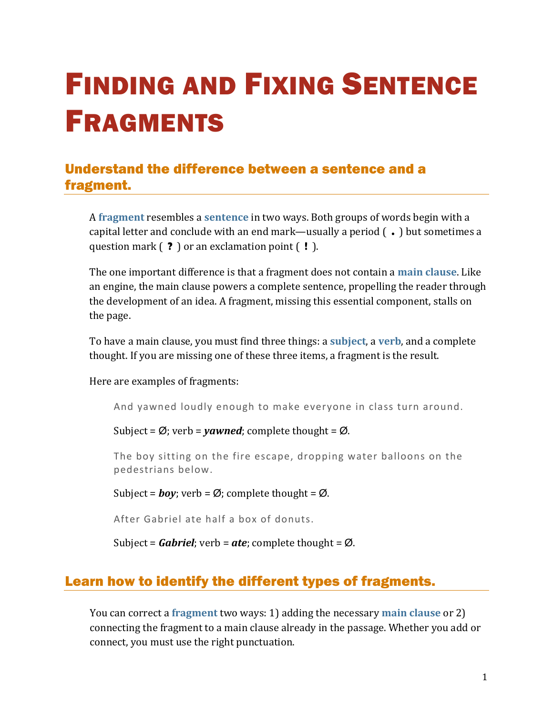# FINDING AND FIXING SENTENCE FRAGMENTS

# Understand the difference between a sentence and a fragment.

A **[fragment](https://chompchomp.com/terms/fragment.htm)** resembles a **[sentence](https://chompchomp.com/terms/completesentence.htm)** in two ways. Both groups of words begin with a capital letter and conclude with an end mark—usually a period ( **.** ) but sometimes a question mark ( **?** ) or an exclamation point ( **!** ).

The one important difference is that a fragment does not contain a **[main clause](https://chompchomp.com/terms/mainclause.htm)**. Like an engine, the main clause powers a complete sentence, propelling the reader through the development of an idea. A fragment, missing this essential component, stalls on the page.

To have a main clause, you must find three things: a **[subject](https://chompchomp.com/terms/subject.htm)**, a **[verb](https://chompchomp.com/terms/verb.htm)**, and a complete thought. If you are missing one of these three items, a fragment is the result.

Here are examples of fragments:

And yawned loudly enough to make everyone in class turn around.

Subject =  $\emptyset$ ; verb = *yawned*; complete thought =  $\emptyset$ .

The boy sitting on the fire escape, dropping water balloons on the pedestrians below.

Subject =  $\boldsymbol{boy}$ ; verb =  $\varnothing$ ; complete thought =  $\varnothing$ .

After Gabriel ate half a box of donuts.

Subject = *Gabriel*; verb = *ate*; complete thought = Ø.

## Learn how to identify the different types of fragments.

You can correct a **[fragment](https://chompchomp.com/terms/fragment.htm)** two ways: 1) adding the necessary **[main clause](https://chompchomp.com/terms/mainclause.htm)** or 2) connecting the fragment to a main clause already in the passage. Whether you add or connect, you must use the right punctuation.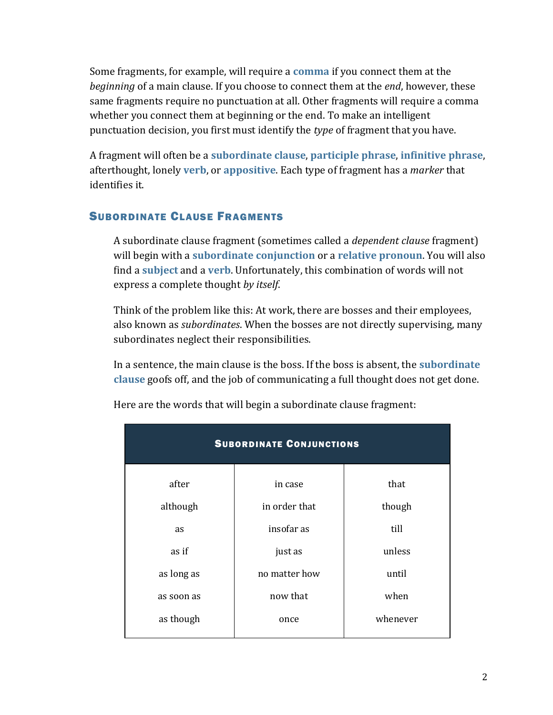Some fragments, for example, will require a **[comma](https://chompchomp.com/terms/comma.htm)** if you connect them at the *beginning* of a main clause. If you choose to connect them at the *end*, however, these same fragments require no punctuation at all. Other fragments will require a comma whether you connect them at beginning or the end. To make an intelligent punctuation decision, you first must identify the *type* of fragment that you have.

A fragment will often be a **[subordinate clause](https://chompchomp.com/terms/subordinateclause.htm)**, **[participle phrase](https://chompchomp.com/terms/participlephrase.htm)**, **[infinitive phrase](https://chompchomp.com/terms/infinitivephrase.htm)**, afterthought, lonely **[verb](https://chompchomp.com/terms/verb.htm)**, or **[appositive](https://chompchomp.com/terms/appositive.htm)**. Each type of fragment has a *marker* that identifies it.

## SUBORDINATE CLAUSE FRAGMENTS

A subordinate clause fragment (sometimes called a *dependent clause* fragment) will begin with a **[subordinate conjunction](https://chompchomp.com/terms/subordinateconjunction.htm)** or a **[relative pronoun](https://chompchomp.com/terms/relativepronoun.htm)**. You will also find a **[subject](https://chompchomp.com/terms/subject.htm)** and a **[verb](https://chompchomp.com/terms/verb.htm)**. Unfortunately, this combination of words will not express a complete thought *by itself*.

Think of the problem like this: At work, there are bosses and their employees, also known as *subordinates*. When the bosses are not directly supervising, many subordinates neglect their responsibilities.

In a sentence, the main clause is the boss. If the boss is absent, the **[subordinate](https://chompchomp.com/terms/subordinateclause.htm)  [clause](https://chompchomp.com/terms/subordinateclause.htm)** goofs off, and the job of communicating a full thought does not get done.

| <b>SUBORDINATE CONJUNCTIONS</b> |               |          |  |  |
|---------------------------------|---------------|----------|--|--|
| after                           | in case       | that     |  |  |
| although                        | in order that | though   |  |  |
| <b>as</b>                       | insofar as    | till     |  |  |
| as if                           | just as       | unless   |  |  |
| as long as                      | no matter how | until    |  |  |
| as soon as                      | now that      | when     |  |  |
| as though                       | once          | whenever |  |  |

Here are the words that will begin a subordinate clause fragment: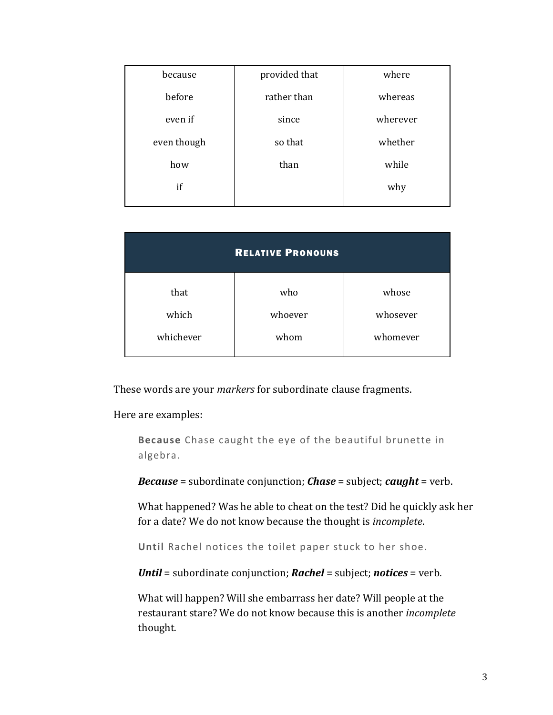| because     | provided that | where    |
|-------------|---------------|----------|
| before      | rather than   | whereas  |
| even if     | since         | wherever |
| even though | so that       | whether  |
| how         | than          | while    |
| if          |               | why      |
|             |               |          |

| <b>RELATIVE PRONOUNS</b> |         |          |  |  |
|--------------------------|---------|----------|--|--|
| that                     | who     | whose    |  |  |
| which                    | whoever | whosever |  |  |
| whichever                | whom    | whomever |  |  |

These words are your *markers* for subordinate clause fragments.

Here are examples:

**Because** Chase caught the eye of the beautiful brunette in algebra.

*Because* = subordinate conjunction; *Chase* = subject; *caught* = verb.

What happened? Was he able to cheat on the test? Did he quickly ask her for a date? We do not know because the thought is *incomplete*.

**Until** Rachel notices the toilet paper stuck to her shoe.

*Until* = subordinate conjunction; *Rachel* = subject; *notices* = verb.

What will happen? Will she embarrass her date? Will people at the restaurant stare? We do not know because this is another *incomplete* thought.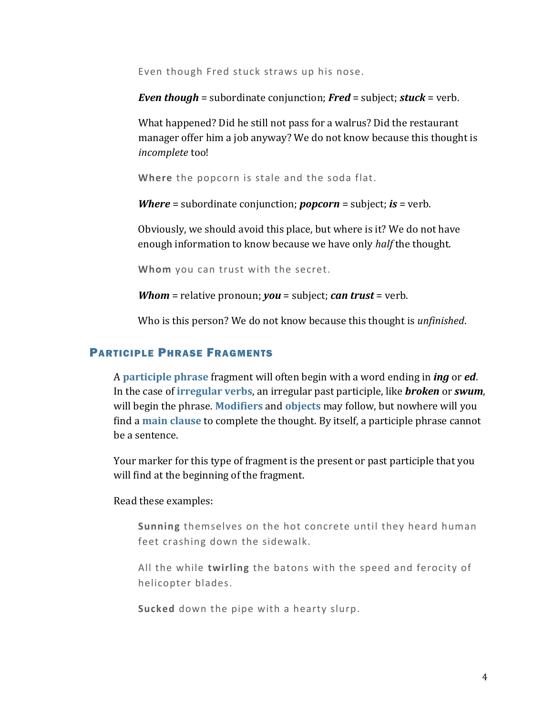Even though Fred stuck straws up his nose.

*Even though* = subordinate conjunction; *Fred* = subject; *stuck* = verb.

What happened? Did he still not pass for a walrus? Did the restaurant manager offer him a job anyway? We do not know because this thought is *incomplete* too!

**Where** the popcorn is stale and the soda flat.

*Where* = subordinate conjunction; *popcorn* = subject; *is* = verb.

Obviously, we should avoid this place, but where is it? We do not have enough information to know because we have only *half* the thought.

**Whom** you can trust with the secret.

*Whom* = relative pronoun; *you* = subject; *can trust* = verb.

Who is this person? We do not know because this thought is *unfinished*.

#### PARTICIPLE PHRASE FRAGMENTS

A **[participle phrase](https://chompchomp.com/terms/participlephrase.htm)** fragment will often begin with a word ending in *ing* or *ed*. In the case of **[irregular verbs](https://chompchomp.com/rules/irregularrules01.htm)**, an irregular past participle, like *broken* or *swum*, will begin the phrase. **[Modifiers](https://chompchomp.com/terms/modifiers.htm)** and **[objects](https://chompchomp.com/terms/objects.htm)** may follow, but nowhere will you find a **[main clause](https://chompchomp.com/terms/mainclause.htm)** to complete the thought. By itself, a participle phrase cannot be a sentence.

Your marker for this type of fragment is the present or past participle that you will find at the beginning of the fragment.

Read these examples:

**Sunning** themselves on the hot concrete until they heard human feet crashing down the sidewalk.

All the while **twirling** the batons with the speed and ferocity of helicopter blades.

**Sucked** down the pipe with a hearty slurp.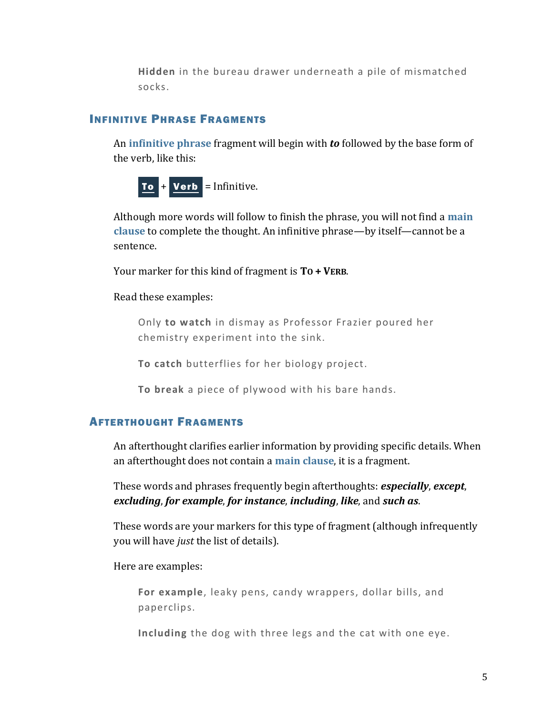**Hidden** in the bureau drawer underneath a pile of mismatched socks.

#### INFINITIVE PHRASE FRAGMENTS

An **[infinitive phrase](https://chompchomp.com/terms/infinitivephrase.htm)** fragment will begin with *to* followed by the base form of the verb, like this:



Although more words will follow to finish the phrase, you will not find a **[main](https://chompchomp.com/terms/mainclause.htm)  [clause](https://chompchomp.com/terms/mainclause.htm)** to complete the thought. An infinitive phrase—by itself—cannot be a sentence.

Your marker for this kind of fragment is **TO + VERB**.

#### Read these examples:

Only **to watch** in dismay as Professor Frazier poured her chemistry experiment into the sink.

**To catch** butterflies for her biology project.

**To break** a piece of plywood with his bare hands.

#### AFTERTHOUGHT FRAGMENTS

An afterthought clarifies earlier information by providing specific details. When an afterthought does not contain a **[main clause](https://chompchomp.com/terms/mainclause.htm)**, it is a fragment.

These words and phrases frequently begin afterthoughts: *especially*, *except*, *excluding*, *for example*, *for instance*, *including*, *like*, and *such as*.

These words are your markers for this type of fragment (although infrequently you will have *just* the list of details).

Here are examples:

**For example**, leaky pens, candy wrappers, dollar bills, and paperclips.

**Including** the dog with three legs and the cat with one eye.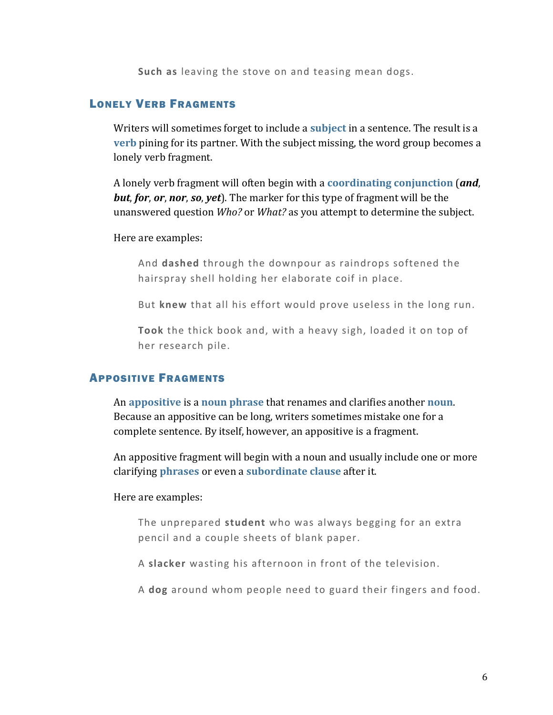**Such as** leaving the stove on and teasing mean dogs.

#### LONELY VERB FRAGMENTS

Writers will sometimes forget to include a **[subject](https://chompchomp.com/terms/subject.htm)** in a sentence. The result is a **[verb](https://chompchomp.com/terms/verb.htm)** pining for its partner. With the subject missing, the word group becomes a lonely verb fragment.

A lonely verb fragment will often begin with a **[coordinating conjunction](https://chompchomp.com/terms/coordinatingconjunction.htm)** (*and*, *but*, *for*, *or*, *nor*, *so*, *yet*). The marker for this type of fragment will be the unanswered question *Who?* or *What?* as you attempt to determine the subject.

#### Here are examples:

And **dashed** through the downpour as raindrops softened the hairspray shell holding her elaborate coif in place.

But **knew** that all his effort would prove useless in the long run.

**Took** the thick book and, with a heavy sigh, loaded it on top of her research pile.

#### APPOSITIVE FRAGMENTS

An **[appositive](https://chompchomp.com/terms/appositive.htm)** is a **[noun phrase](https://chompchomp.com/terms/nounphrase.htm)** that renames and clarifies another **[noun](https://chompchomp.com/terms/noun.htm)**. Because an appositive can be long, writers sometimes mistake one for a complete sentence. By itself, however, an appositive is a fragment.

An appositive fragment will begin with a noun and usually include one or more clarifying **[phrases](https://chompchomp.com/terms/phrase.htm)** or even a **[subordinate clause](https://chompchomp.com/terms/subordinateclause.htm)** after it.

#### Here are examples:

The unprepared **student** who was always begging for an extra pencil and a couple sheets of blank paper.

A **slacker** wasting his afternoon in front of the television.

A **dog** around whom people need to guard their fingers and food.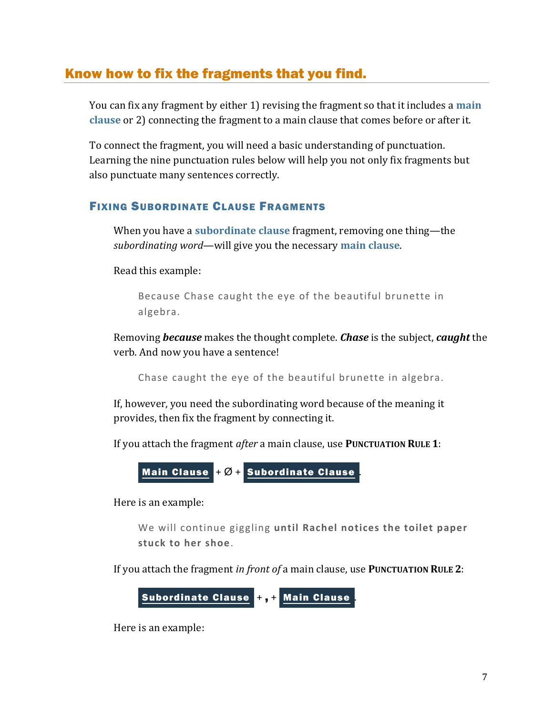## Know how to fix the fragments that you find.

You can fix any fragment by either 1) revising the fragment so that it includes a **[main](https://chompchomp.com/terms/mainclause.htm)  [clause](https://chompchomp.com/terms/mainclause.htm)** or 2) connecting the fragment to a main clause that comes before or after it.

To connect the fragment, you will need a basic understanding of punctuation. Learning the nine punctuation rules below will help you not only fix fragments but also punctuate many sentences correctly.

#### FIXING SUBORDINATE CLAUSE FRAGMENTS

When you have a **[subordinate clause](https://chompchomp.com/terms/subordinateclause.htm)** fragment, removing one thing—the *subordinating word*—will give you the necessary **[main clause](https://chompchomp.com/terms/mainclause.htm)**.

Read this example:

Because Chase caught the eye of the beautiful brunette in algebra.

Removing *because* makes the thought complete. *Chase* is the subject, *caught* the verb. And now you have a sentence!

Chase caught the eye of the beautiful brunette in algebra.

If, however, you need the subordinating word because of the meaning it provides, then fix the fragment by connecting it.

If you attach the fragment *after* a main clause, use **PUNCTUATION RULE 1**:



Here is an example:

We will continue giggling **until Rachel notices the toilet paper stuck to her shoe**.

If you attach the fragment *in front of* a main clause, use **PUNCTUATION RULE 2**:

Subordinate Clause + , + Main Clause .

Here is an example: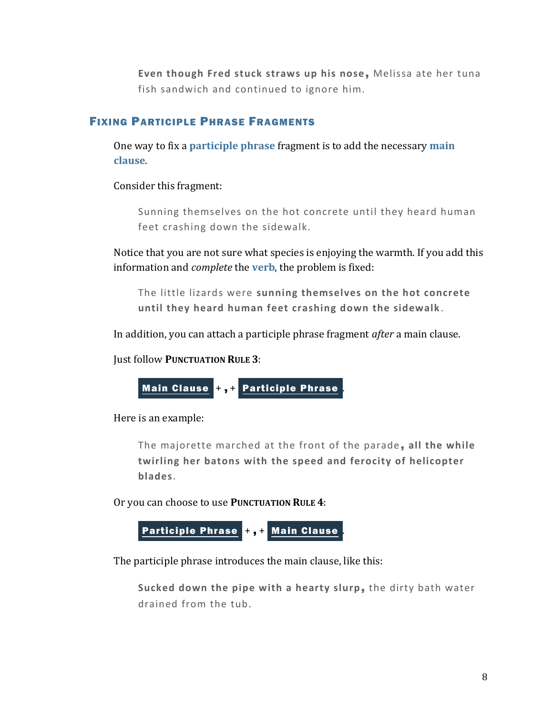Even though Fred stuck straws up his nose, Melissa ate her tuna fish sandwich and continued to ignore him.

## FIXING PARTICIPLE PHRASE FRAGMENTS

One way to fix a **[participle phrase](https://chompchomp.com/terms/participlephrase.htm)** fragment is to add the necessary **[main](https://chompchomp.com/terms/mainclause.htm)  [clause](https://chompchomp.com/terms/mainclause.htm)**.

Consider this fragment:

Sunning themselves on the hot concrete until they heard human feet crashing down the sidewalk.

Notice that you are not sure what species is enjoying the warmth. If you add this information and *complete* the **[verb](https://chompchomp.com/terms/verb.htm)**, the problem is fixed:

The little lizards were **sunning themselves on the hot concrete until they heard human feet crashing down the sidewalk** .

In addition, you can attach a participle phrase fragment *after* a main clause.

Just follow **PUNCTUATION RULE 3**:



Here is an example:

The majorette marched at the front of the parade , **all the while twirling her batons with the speed and ferocity of helicopter blades**.

Or you can choose to use **PUNCTUATION RULE 4**:



The participle phrase introduces the main clause, like this:

**Sucked down the pipe with a hearty slurp**, the dirty bath water drained from the tub.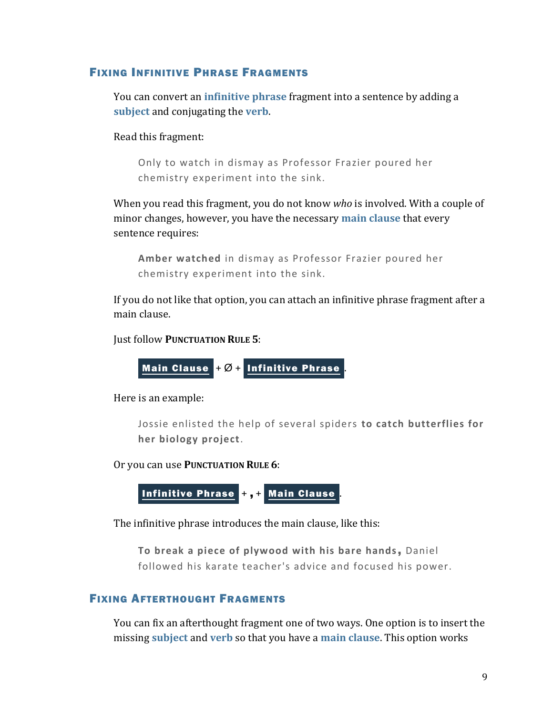#### FIXING INFINITIVE PHRASE FRAGMENTS

You can convert an **[infinitive phrase](https://chompchomp.com/terms/infinitivephrase.htm)** fragment into a sentence by adding a **[subject](https://chompchomp.com/terms/subject.htm)** and conjugating the **[verb](https://chompchomp.com/terms/verb.htm)**.

Read this fragment:

Only to watch in dismay as Professor Frazier poured her chemistry experiment into the sink.

When you read this fragment, you do not know *who* is involved. With a couple of minor changes, however, you have the necessary **[main clause](https://chompchomp.com/terms/mainclause.htm)** that every sentence requires:

**Amber watched** in dismay as Professor Frazier poured her chemistry experiment into the sink.

If you do not like that option, you can attach an infinitive phrase fragment after a main clause.

Just follow **PUNCTUATION RULE 5**:

$$
\underline{\text{Main Claude}} + \varnothing + \underline{\text{Infinite Phase}}.
$$

Here is an example:

Jossie enlisted the help of several spiders **to catch butterflies for her biology project**.

Or you can use **PUNCTUATION RULE 6**:

Infinitive Phrase +, + Main Clause

The infinitive phrase introduces the main clause, like this:

**To break a piece of plywood with his bare hands**, Daniel followed his karate teacher's advice and focused his power.

#### FIXING AFTERTHOUGHT FRAGMENTS

You can fix an afterthought fragment one of two ways. One option is to insert the missing **[subject](https://chompchomp.com/terms/subject.htm)** and **[verb](https://chompchomp.com/terms/verb.htm)** so that you have a **[main clause](https://chompchomp.com/terms/mainclause.htm)**. This option works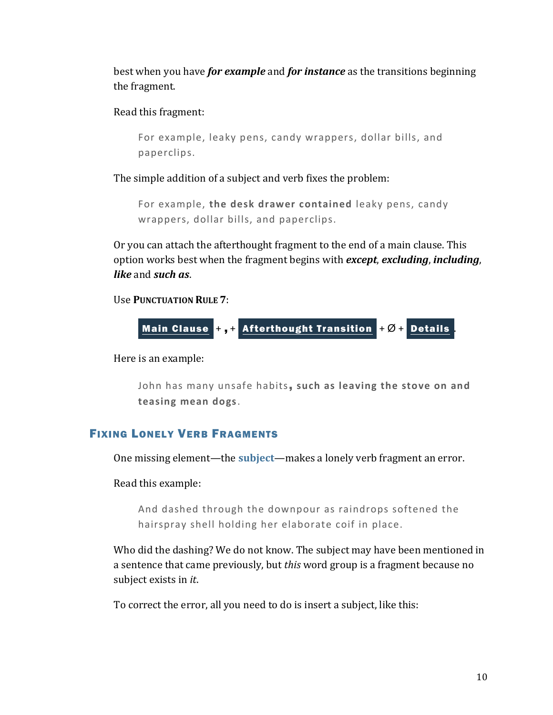best when you have *for example* and *for instance* as the transitions beginning the fragment.

Read this fragment:

```
For example, leaky pens, candy wrappers, dollar bills, and 
paperclips.
```
The simple addition of a subject and verb fixes the problem:

For example, **the desk drawer contained** leaky pens, candy wrappers, dollar bills, and paperclips.

Or you can attach the afterthought fragment to the end of a main clause. This option works best when the fragment begins with *except*, *excluding*, *including*, *like* and *such as*.

Use **PUNCTUATION RULE 7**:



Here is an example:

John has many unsafe habits, **such as leaving the stove on and teasing mean dogs**.

#### FIXING LONELY VERB FRAGMENTS

One missing element—the **[subject](https://chompchomp.com/terms/subject.htm)**—makes a lonely verb fragment an error.

Read this example:

And dashed through the downpour as raindrops softened the hairspray shell holding her elaborate coif in place.

Who did the dashing? We do not know. The subject may have been mentioned in a sentence that came previously, but *this* word group is a fragment because no subject exists in *it*.

To correct the error, all you need to do is insert a subject, like this: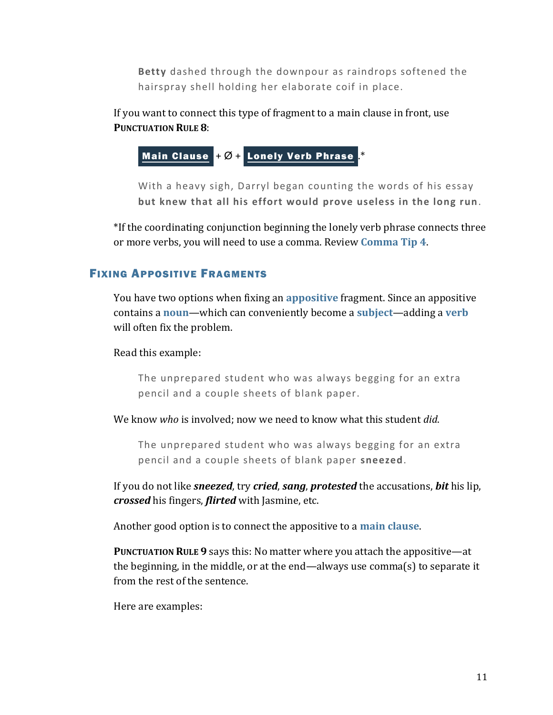**Betty** dashed through the downpour as raindrops softened the hairspray shell holding her elaborate coif in place.

If you want to connect this type of fragment to a main clause in front, use **PUNCTUATION RULE 8**:

Main Clause  $+$  Ø + Lonely Verb Phrase

With a heavy sigh, Darryl began counting the words of his essay **but knew that all his effort would prove useless in the long run**.

\*If the coordinating conjunction beginning the lonely verb phrase connects three or more verbs, you will need to use a comma. Review **[Comma Tip 4](https://chompchomp.com/handouts/commatip04.pdf)**.

#### FIXING APPOSITIVE FRAGMENTS

You have two options when fixing an **[appositive](https://chompchomp.com/terms/appositive.htm)** fragment. Since an appositive contains a **[noun](https://chompchomp.com/terms/noun.htm)**—which can conveniently become a **[subject](https://chompchomp.com/terms/subject.htm)**—adding a **[verb](https://chompchomp.com/terms/verb.htm)** will often fix the problem.

Read this example:

The unprepared student who was always begging for an extra pencil and a couple sheets of blank paper.

We know *who* is involved; now we need to know what this student *did*.

The unprepared student who was always begging for an extra pencil and a couple sheets of blank paper **sneezed**.

If you do not like *sneezed*, try *cried*, *sang*, *protested* the accusations, *bit* his lip, *crossed* his fingers, *flirted* with Jasmine, etc.

Another good option is to connect the appositive to a **[main clause](https://chompchomp.com/terms/mainclause.htm)**.

**PUNCTUATION RULE 9** says this: No matter where you attach the appositive—at the beginning, in the middle, or at the end—always use comma(s) to separate it from the rest of the sentence.

Here are examples: